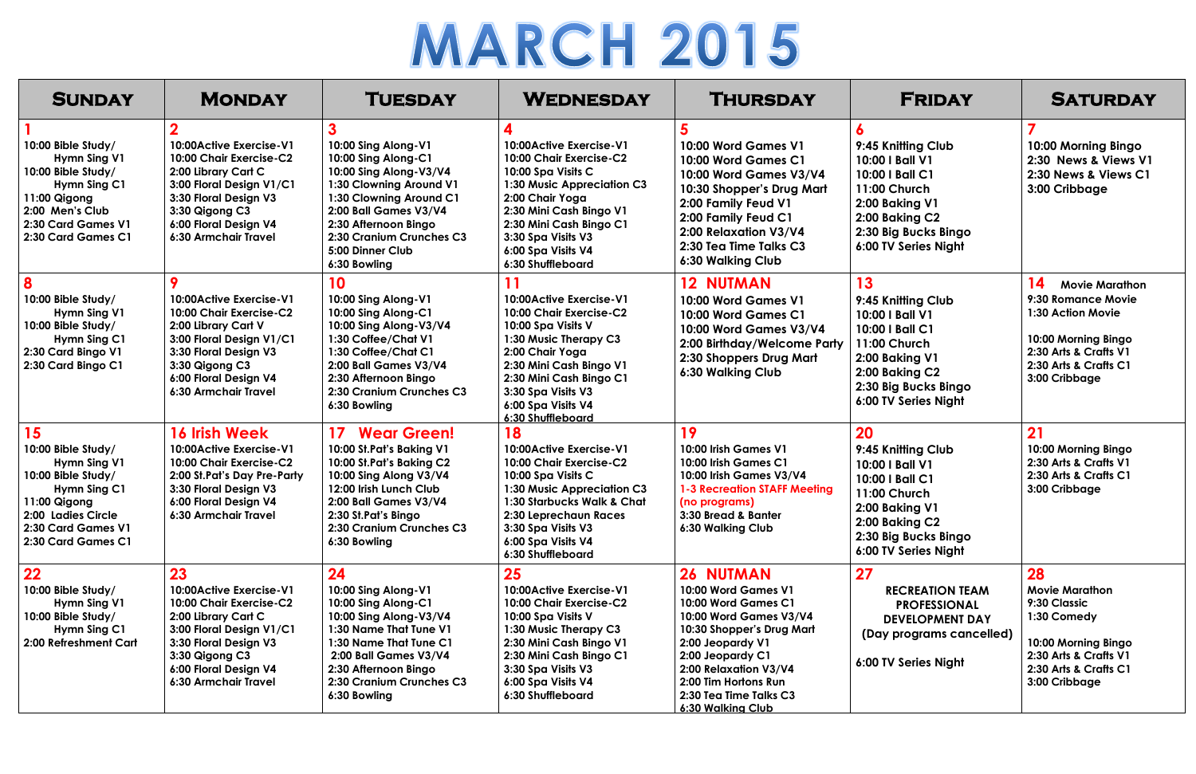## **MARCH 2015**

| <b>SUNDAY</b>                                                                                                                                                    | <b>MONDAY</b>                                                                                                                                                                                           | <b>TUESDAY</b>                                                                                                                                                                                                                              | <b>WEDNESDAY</b>                                                                                                                                                                                                                                  | <b>THURSDAY</b>                                                                                                                                                                                                                                               | <b>FRIDAY</b>                                                                                                                                                      | <b>SATURDAY</b>                                                                                                                                                  |
|------------------------------------------------------------------------------------------------------------------------------------------------------------------|---------------------------------------------------------------------------------------------------------------------------------------------------------------------------------------------------------|---------------------------------------------------------------------------------------------------------------------------------------------------------------------------------------------------------------------------------------------|---------------------------------------------------------------------------------------------------------------------------------------------------------------------------------------------------------------------------------------------------|---------------------------------------------------------------------------------------------------------------------------------------------------------------------------------------------------------------------------------------------------------------|--------------------------------------------------------------------------------------------------------------------------------------------------------------------|------------------------------------------------------------------------------------------------------------------------------------------------------------------|
| 10:00 Bible Study/<br>Hymn Sing V1<br>10:00 Bible Study/<br>Hymn Sing C1<br>11:00 Qigong<br>2:00 Men's Club<br>2:30 Card Games V1<br>2:30 Card Games C1          | 10:00Active Exercise-V1<br>10:00 Chair Exercise-C2<br>2:00 Library Cart C<br>3:00 Floral Design V1/C1<br>3:30 Floral Design V3<br>3:30 Qigong C3<br>6:00 Floral Design V4<br>6:30 Armchair Travel       | 10:00 Sing Along-V1<br>10:00 Sing Along-C1<br>10:00 Sing Along-V3/V4<br>1:30 Clowning Around V1<br>1:30 Clowning Around C1<br>2:00 Ball Games V3/V4<br>2:30 Afternoon Bingo<br>2:30 Cranium Crunches C3<br>5:00 Dinner Club<br>6:30 Bowling | 10:00Active Exercise-V1<br>10:00 Chair Exercise-C2<br>10:00 Spa Visits C<br>1:30 Music Appreciation C3<br>2:00 Chair Yoga<br>2:30 Mini Cash Bingo V1<br>2:30 Mini Cash Bingo C1<br>3:30 Spa Visits V3<br>6:00 Spa Visits V4<br>6:30 Shuffleboard  | 10:00 Word Games V1<br>10:00 Word Games C1<br>10:00 Word Games V3/V4<br>10:30 Shopper's Drug Mart<br>2:00 Family Feud V1<br>2:00 Family Feud C1<br>2:00 Relaxation V3/V4<br>2:30 Tea Time Talks C3<br>6:30 Walking Club                                       | 9:45 Knitting Club<br>10:00   Ball V1<br>10:00   Ball C1<br>11:00 Church<br>2:00 Baking V1<br>2:00 Baking C2<br>2:30 Big Bucks Bingo<br>6:00 TV Series Night       | 10:00 Morning Bingo<br>2:30 News & Views V1<br>2:30 News & Views C1<br>3:00 Cribbage                                                                             |
| 8<br>10:00 Bible Study/<br>Hymn Sing V1<br>10:00 Bible Study/<br>Hymn Sing C1<br>2:30 Card Bingo V1<br>2:30 Card Bingo C1                                        | 10:00 Active Exercise - V1<br>10:00 Chair Exercise-C2<br>2:00 Library Cart V<br>3:00 Floral Design V1/C1<br>3:30 Floral Design V3<br>3:30 Qigong C3<br>6:00 Floral Design V4<br>6:30 Armchair Travel    | 10<br>10:00 Sing Along-V1<br>10:00 Sing Along-C1<br>10:00 Sing Along-V3/V4<br>1:30 Coffee/Chat V1<br>1:30 Coffee/Chat C1<br>2:00 Ball Games V3/V4<br>2:30 Afternoon Bingo<br>2:30 Cranium Crunches C3<br>6:30 Bowling                       | 11<br>10:00Active Exercise-V1<br>10:00 Chair Exercise-C2<br>10:00 Spa Visits V<br>1:30 Music Therapy C3<br>2:00 Chair Yoga<br>2:30 Mini Cash Bingo V1<br>2:30 Mini Cash Bingo C1<br>3:30 Spa Visits V3<br>6:00 Spa Visits V4<br>6:30 Shuffleboard | <b>12 NUTMAN</b><br>10:00 Word Games V1<br>10:00 Word Games C1<br>10:00 Word Games V3/V4<br>2:00 Birthday/Welcome Party<br>2:30 Shoppers Drug Mart<br>6:30 Walking Club                                                                                       | 13<br>9:45 Knitting Club<br>10:00   Ball V1<br>10:00   Ball C1<br>11:00 Church<br>2:00 Baking V1<br>2:00 Baking C2<br>2:30 Big Bucks Bingo<br>6:00 TV Series Night | 14<br><b>Movie Marathon</b><br>9:30 Romance Movie<br>1:30 Action Movie<br>10:00 Morning Bingo<br>2:30 Arts & Crafts V1<br>2:30 Arts & Crafts C1<br>3:00 Cribbage |
| 15<br>10:00 Bible Study/<br>Hymn Sing V1<br>10:00 Bible Study/<br>Hymn Sing C1<br>11:00 Qigong<br>2:00 Ladies Circle<br>2:30 Card Games V1<br>2:30 Card Games C1 | <b>16 Irish Week</b><br>10:00Active Exercise-V1<br>10:00 Chair Exercise-C2<br>2:00 St. Pat's Day Pre-Party<br>3:30 Floral Design V3<br>6:00 Floral Design V4<br>6:30 Armchair Travel                    | 17<br><b>Wear Green!</b><br>10:00 St.Pat's Baking V1<br>10:00 St.Pat's Baking C2<br>10:00 Sing Along V3/V4<br>12:00 Irish Lunch Club<br>2:00 Ball Games V3/V4<br>2:30 St.Pat's Bingo<br>2:30 Cranium Crunches C3<br>6:30 Bowling            | 18<br>10:00Active Exercise-V1<br>10:00 Chair Exercise-C2<br>10:00 Spa Visits C<br>1:30 Music Appreciation C3<br>1:30 Starbucks Walk & Chat<br>2:30 Leprechaun Races<br>3:30 Spa Visits V3<br>6:00 Spa Visits V4<br>6:30 Shuffleboard              | 19<br>10:00 Irish Games V1<br>10:00 Irish Games C1<br>10:00 Irish Games V3/V4<br><b>1-3 Recreation STAFF Meeting</b><br>(no programs)<br>3:30 Bread & Banter<br>6:30 Walking Club                                                                             | 20<br>9:45 Knitting Club<br>10:00   Ball V1<br>10:00   Ball C1<br>11:00 Church<br>2:00 Baking V1<br>2:00 Baking C2<br>2:30 Big Bucks Bingo<br>6:00 TV Series Night | 21<br>10:00 Morning Bingo<br>2:30 Arts & Crafts V1<br>2:30 Arts & Crafts C1<br>3:00 Cribbage                                                                     |
| 22<br>10:00 Bible Study/<br>Hymn Sing V1<br>10:00 Bible Study/<br>Hymn Sing C1<br>2:00 Refreshment Cart                                                          | 23<br>10:00Active Exercise-V1<br>10:00 Chair Exercise-C2<br>2:00 Library Cart C<br>3:00 Floral Design V1/C1<br>3:30 Floral Design V3<br>3:30 Qigong C3<br>6:00 Floral Design V4<br>6:30 Armchair Travel | 24<br>10:00 Sing Along-V1<br>10:00 Sing Along-C1<br>10:00 Sing Along-V3/V4<br>1:30 Name That Tune V1<br>1:30 Name That Tune C1<br>2:00 Ball Games V3/V4<br>2:30 Afternoon Bingo<br>2:30 Cranium Crunches C3<br>6:30 Bowling                 | 25<br>10:00Active Exercise-V1<br>10:00 Chair Exercise-C2<br>10:00 Spa Visits V<br>1:30 Music Therapy C3<br>2:30 Mini Cash Bingo V1<br>2:30 Mini Cash Bingo C1<br>3:30 Spa Visits V3<br>6:00 Spa Visits V4<br>6:30 Shuffleboard                    | <b>26 NUTMAN</b><br>10:00 Word Games V1<br>10:00 Word Games C1<br>10:00 Word Games V3/V4<br>10:30 Shopper's Drug Mart<br>2:00 Jeopardy V1<br>2:00 Jeopardy C1<br>2:00 Relaxation V3/V4<br>2:00 Tim Hortons Run<br>2:30 Tea Time Talks C3<br>6:30 Walking Club | 27<br><b>RECREATION TEAM</b><br><b>PROFESSIONAL</b><br><b>DEVELOPMENT DAY</b><br>(Day programs cancelled)<br>6:00 TV Series Night                                  | 28<br><b>Movie Marathon</b><br>9:30 Classic<br>1:30 Comedy<br>10:00 Morning Bingo<br>2:30 Arts & Crafts V1<br>2:30 Arts & Crafts C1<br>3:00 Cribbage             |